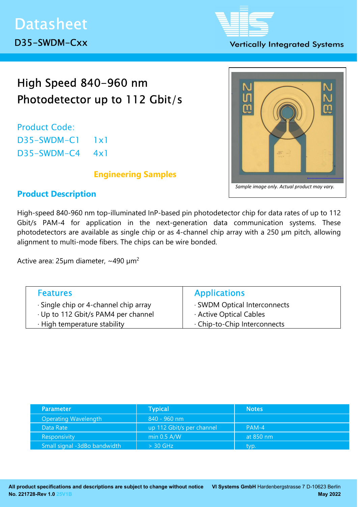#### **Vertically Integrated Systems**

# High Speed 840-960 nm Photodetector up to 112 Gbit/s

Product Code: D35-SWDM-C1 1x1 D35-SWDM-C4 4x1

## Engineering Samples



## Product Description

High-speed 840-960 nm top-illuminated InP-based pin photodetector chip for data rates of up to 112 Gbit/s PAM-4 for application in the next-generation data communication systems. These photodetectors are available as single chip or as 4-channel chip array with a 250 µm pitch, allowing alignment to multi-mode fibers. The chips can be wire bonded.

Active area:  $25 \mu m$  diameter,  $\sim$  490  $\mu m^2$ 

| <b>Features</b>                       | <b>Applications</b>          |
|---------------------------------------|------------------------------|
| · Single chip or 4-channel chip array | · SWDM Optical Interconnects |
| · Up to 112 Gbit/s PAM4 per channel   | Active Optical Cables        |
| · High temperature stability          | . Chip-to-Chip Interconnects |
|                                       |                              |

| <b>Parameter</b>             | <b>Typical</b>            | <b>Notes</b> |
|------------------------------|---------------------------|--------------|
| <b>Operating Wavelength</b>  | 840 - 960 nm              |              |
| Data Rate                    | up 112 Gbit/s per channel | $PAM-4$      |
| Responsivity                 | min $0.5$ A/W             | at 850 nm    |
| Small signal -3dBo bandwidth | $> 30$ GHz                | typ.         |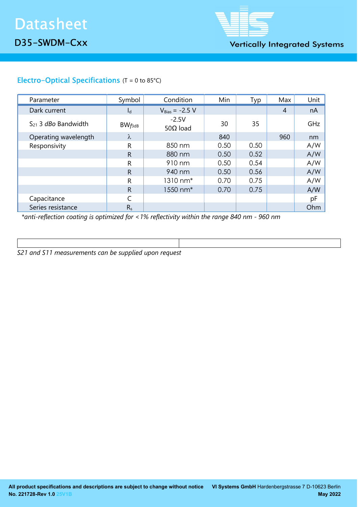

**Vertically Integrated Systems** 

## Electro-Optical Specifications (T = 0 to 85°C)

| Parameter                       | Symbol       | Condition                   | Min  | Typ  | Max            | Unit |
|---------------------------------|--------------|-----------------------------|------|------|----------------|------|
| Dark current                    | $I_d$        | $V_{Bias} = -2.5 V$         |      |      | $\overline{A}$ | nA   |
| $S_{21}$ 3 <i>dBo</i> Bandwidth | $BW_{f3dB}$  | $-2.5V$<br>50 $\Omega$ load | 30   | 35   |                | GHz  |
| Operating wavelength            | λ            |                             | 840  |      | 960            | nm   |
| Responsivity                    | R            | 850 nm                      | 0.50 | 0.50 |                | A/W  |
|                                 | $\mathsf{R}$ | 880 nm                      | 0.50 | 0.52 |                | A/W  |
|                                 | R            | 910 nm                      | 0.50 | 0.54 |                | A/W  |
|                                 | $\mathsf{R}$ | 940 nm                      | 0.50 | 0.56 |                | A/W  |
|                                 | R            | 1310 nm*                    | 0.70 | 0.75 |                | A/W  |
|                                 | $\mathsf{R}$ | 1550 nm <sup>*</sup>        | 0.70 | 0.75 |                | A/W  |
| Capacitance                     |              |                             |      |      |                | pF   |
| Series resistance               | $R_{s}$      |                             |      |      |                | Ohm  |

\*anti-reflection coating is optimized for <1% reflectivity within the range 840 nm - 960 nm

S21 and S11 measurements can be supplied upon request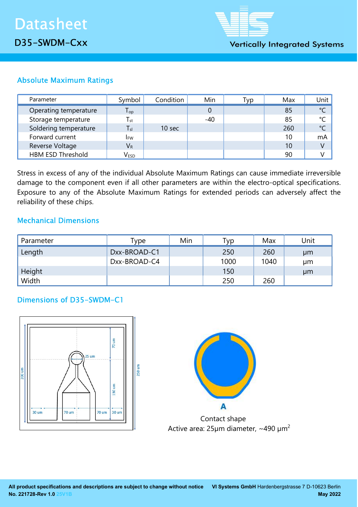

# Absolute Maximum Ratings

| Parameter                | Symbol                      | Condition | Min   | Typ | Max | Unit         |
|--------------------------|-----------------------------|-----------|-------|-----|-----|--------------|
| Operating temperature    | ${\mathsf T}_{\textsf{op}}$ |           |       |     | 85  | $^{\circ}$ C |
| Storage temperature      | $T_{\rm st}$                |           | $-40$ |     | 85  | $^{\circ}C$  |
| Soldering temperature    | $T_{sl}$                    | 10 sec    |       |     | 260 | $^{\circ}C$  |
| Forward current          | <b>I</b> <sub>FW</sub>      |           |       |     | 10  | mA           |
| Reverse Voltage          | $V_{R}$                     |           |       |     | 10  | V            |
| <b>HBM ESD Threshold</b> | $\mathsf{V}_{\mathsf{ESD}}$ |           |       |     | 90  |              |

Stress in excess of any of the individual Absolute Maximum Ratings can cause immediate irreversible damage to the component even if all other parameters are within the electro-optical specifications. Exposure to any of the Absolute Maximum Ratings for extended periods can adversely affect the reliability of these chips.

## Mechanical Dimensions

| Parameter | Type         | Min | Гур  | Max  | Unit |
|-----------|--------------|-----|------|------|------|
| Length    | Dxx-BROAD-C1 |     | 250  | 260  | µm   |
|           | Dxx-BROAD-C4 |     | 1000 | 1040 | μm   |
| Height    |              |     | 150  |      | µm   |
| Width     |              |     | 250  | 260  |      |

## Dimensions of D35-SWDM-C1





 Contact shape Active area:  $25 \mu m$  diameter, ~490  $\mu m^2$